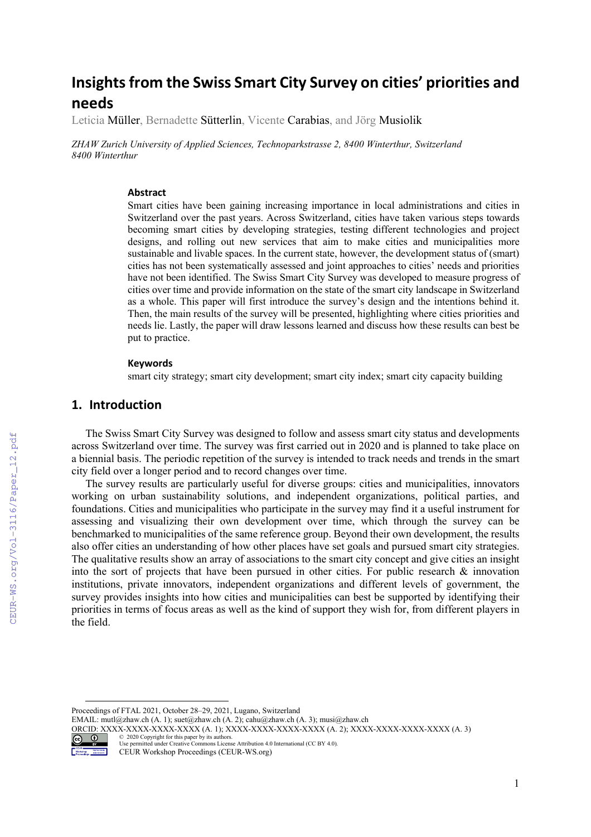# **Insights from the Swiss Smart City Survey on cities' priorities and needs**

Leticia Müller, Bernadette Sütterlin, Vicente Carabias, and Jörg Musiolik

*ZHAW Zurich University of Applied Sciences, Technoparkstrasse 2, 8400 Winterthur, Switzerland 8400 Winterthur*

#### **Abstract**

Smart cities have been gaining increasing importance in local administrations and cities in Switzerland over the past years. Across Switzerland, cities have taken various steps towards becoming smart cities by developing strategies, testing different technologies and project designs, and rolling out new services that aim to make cities and municipalities more sustainable and livable spaces. In the current state, however, the development status of (smart) cities has not been systematically assessed and joint approaches to cities' needs and priorities have not been identified. The Swiss Smart City Survey was developed to measure progress of cities over time and provide information on the state of the smart city landscape in Switzerland as a whole. This paper will first introduce the survey's design and the intentions behind it. Then, the main results of the survey will be presented, highlighting where cities priorities and needs lie. Lastly, the paper will draw lessons learned and discuss how these results can best be put to practice.

#### **Keywords**

smart city strategy; smart city development; smart city index; smart city capacity building

#### **1. Introduction**

The Swiss Smart City Survey was designed to follow and assess smart city status and developments across Switzerland over time. The survey was first carried out in 2020 and is planned to take place on a biennial basis. The periodic repetition of the survey is intended to track needs and trends in the smart city field over a longer period and to record changes over time.

The survey results are particularly useful for diverse groups: cities and municipalities, innovators working on urban sustainability solutions, and independent organizations, political parties, and foundations. Cities and municipalities who participate in the survey may find it a useful instrument for assessing and visualizing their own development over time, which through the survey can be benchmarked to municipalities of the same reference group. Beyond their own development, the results also offer cities an understanding of how other places have set goals and pursued smart city strategies. The qualitative results show an array of associations to the smart city concept and give cities an insight into the sort of projects that have been pursued in other cities. For public research & innovation institutions, private innovators, independent organizations and different levels of government, the survey provides insights into how cities and municipalities can best be supported by identifying their priorities in terms of focus areas as well as the kind of support they wish for, from different players in the field.

ORCID: XXXX-XXXX-XXXX-XXXX-XXXX (A. 1); XXXX-XXXX-XXXX-XXXX (A. 2); XXXX-XXXX-XXXX-XXXX (A. 3) © 2020 Copyright for this paper by its authors.



Use permitted under Creative Commons License Attribution 4.0 International (CC BY 4.0).

Proceedings of FTAL 2021, October 28–29, 2021, Lugano, Switzerland

EMAIL: mutl@zhaw.ch (A. 1); suet@zhaw.ch (A. 2); cahu@zhaw.ch (A. 3); musi@zhaw.ch

CEUR Workshop Proceedings (CEUR-WS.org)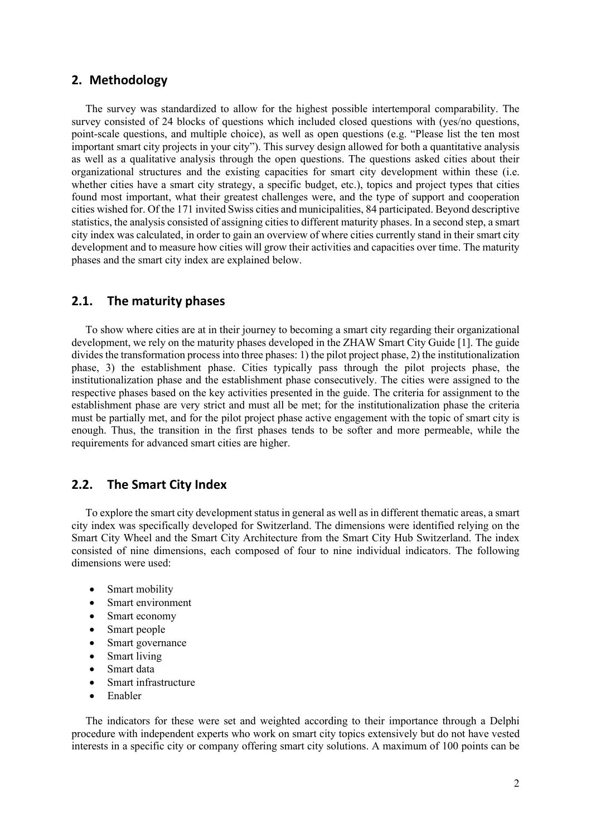#### **2. Methodology**

The survey was standardized to allow for the highest possible intertemporal comparability. The survey consisted of 24 blocks of questions which included closed questions with (yes/no questions, point-scale questions, and multiple choice), as well as open questions (e.g. "Please list the ten most important smart city projects in your city"). This survey design allowed for both a quantitative analysis as well as a qualitative analysis through the open questions. The questions asked cities about their organizational structures and the existing capacities for smart city development within these (i.e. whether cities have a smart city strategy, a specific budget, etc.), topics and project types that cities found most important, what their greatest challenges were, and the type of support and cooperation cities wished for. Of the 171 invited Swiss cities and municipalities, 84 participated. Beyond descriptive statistics, the analysis consisted of assigning cities to different maturity phases. In a second step, a smart city index was calculated, in order to gain an overview of where cities currently stand in their smart city development and to measure how cities will grow their activities and capacities over time. The maturity phases and the smart city index are explained below.

### **2.1. The maturity phases**

To show where cities are at in their journey to becoming a smart city regarding their organizational development, we rely on the maturity phases developed in the ZHAW Smart City Guide [1]. The guide divides the transformation process into three phases: 1) the pilot project phase, 2) the institutionalization phase, 3) the establishment phase. Cities typically pass through the pilot projects phase, the institutionalization phase and the establishment phase consecutively. The cities were assigned to the respective phases based on the key activities presented in the guide. The criteria for assignment to the establishment phase are very strict and must all be met; for the institutionalization phase the criteria must be partially met, and for the pilot project phase active engagement with the topic of smart city is enough. Thus, the transition in the first phases tends to be softer and more permeable, while the requirements for advanced smart cities are higher.

# **2.2. The Smart City Index**

To explore the smart city development status in general as well as in different thematic areas, a smart city index was specifically developed for Switzerland. The dimensions were identified relying on the Smart City Wheel and the Smart City Architecture from the Smart City Hub Switzerland. The index consisted of nine dimensions, each composed of four to nine individual indicators. The following dimensions were used:

- Smart mobility
- Smart environment
- Smart economy
- Smart people
- Smart governance
- Smart living
- Smart data
- Smart infrastructure
- Enabler

The indicators for these were set and weighted according to their importance through a Delphi procedure with independent experts who work on smart city topics extensively but do not have vested interests in a specific city or company offering smart city solutions. A maximum of 100 points can be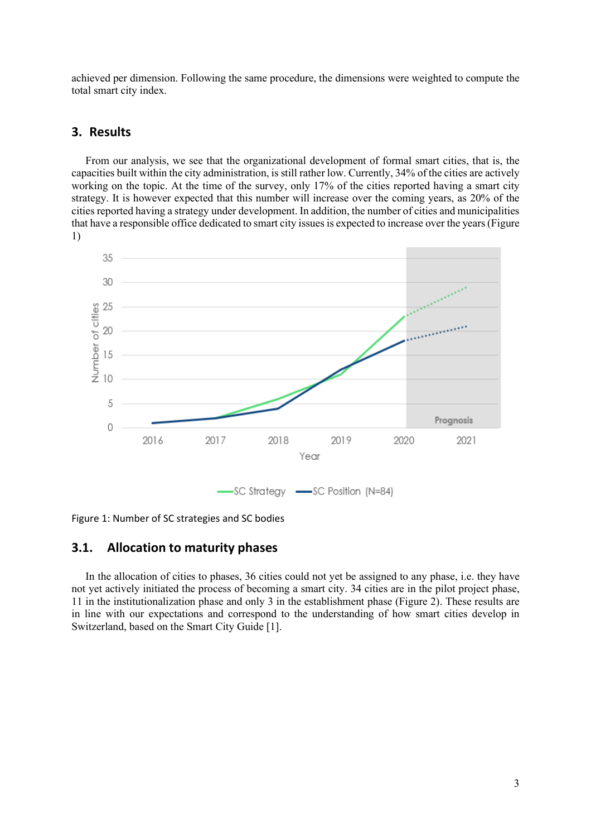achieved per dimension. Following the same procedure, the dimensions were weighted to compute the total smart city index.

### **3. Results**

From our analysis, we see that the organizational development of formal smart cities, that is, the capacities built within the city administration, is still rather low. Currently, 34% of the cities are actively working on the topic. At the time of the survey, only 17% of the cities reported having a smart city strategy. It is however expected that this number will increase over the coming years, as 20% of the cities reported having a strategy under development. In addition, the number of cities and municipalities that have a responsible office dedicated to smart city issues is expected to increase over the years [\(Figure](#page-2-0)  [1\)](#page-2-0)



<span id="page-2-0"></span>Figure 1: Number of SC strategies and SC bodies

### **3.1. Allocation to maturity phases**

<span id="page-2-1"></span>In the allocation of cities to phases, 36 cities could not yet be assigned to any phase, i.e. they have not yet actively initiated the process of becoming a smart city. 34 cities are in the pilot project phase, 11 in the institutionalization phase and only 3 in the establishment phase [\(Figure 2\)](#page-2-1). These results are in line with our expectations and correspond to the understanding of how smart cities develop in Switzerland, based on the Smart City Guide [1].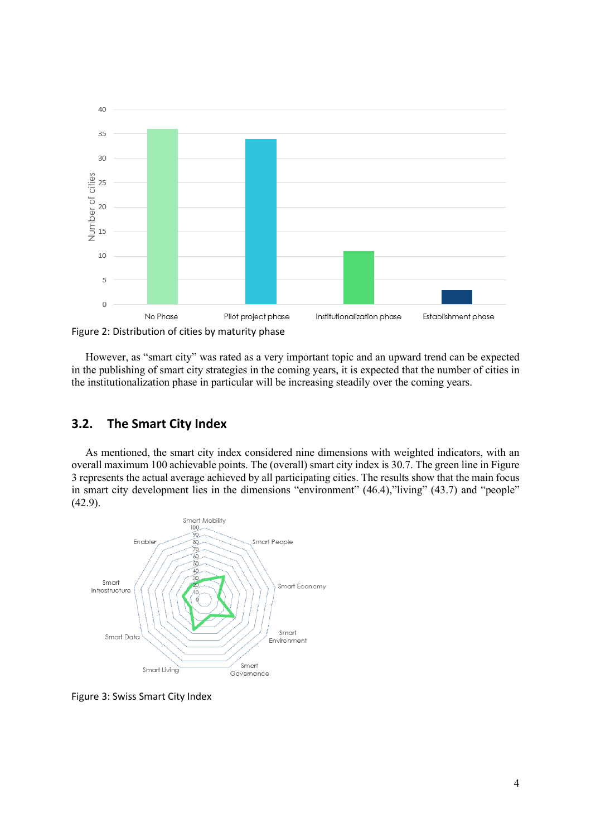

Figure 2: Distribution of cities by maturity phase

However, as "smart city" was rated as a very important topic and an upward trend can be expected in the publishing of smart city strategies in the coming years, it is expected that the number of cities in the institutionalization phase in particular will be increasing steadily over the coming years.

# **3.2. The Smart City Index**

As mentioned, the smart city index considered nine dimensions with weighted indicators, with an overall maximum 100 achievable points. The (overall) smart city index is 30.7. The green line i[n Figure](#page-3-0)  [3](#page-3-0) represents the actual average achieved by all participating cities. The results show that the main focus in smart city development lies in the dimensions "environment" (46.4), "living" (43.7) and "people" (42.9).



<span id="page-3-0"></span>Figure 3: Swiss Smart City Index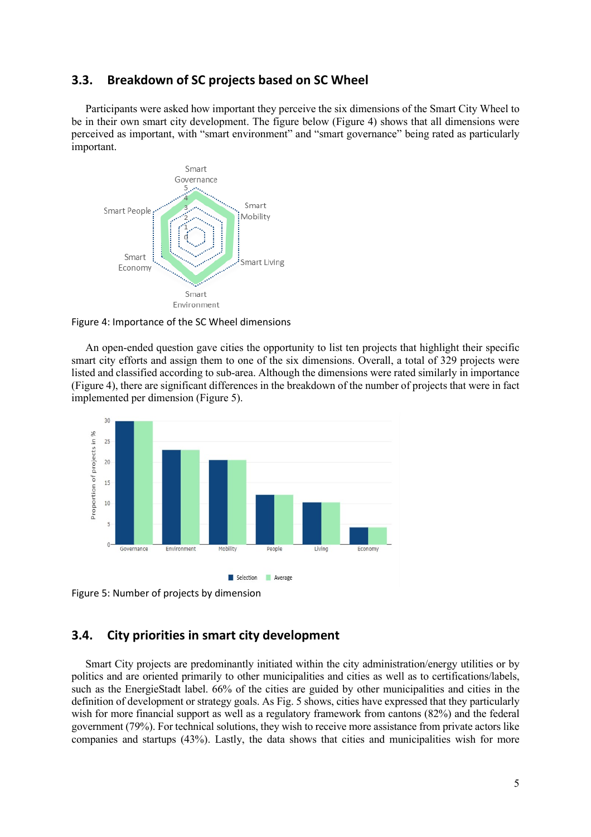#### **3.3. Breakdown of SC projects based on SC Wheel**

Participants were asked how important they perceive the six dimensions of the Smart City Wheel to be in their own smart city development. The figure below [\(Figure 4\)](#page-4-0) shows that all dimensions were perceived as important, with "smart environment" and "smart governance" being rated as particularly important.



<span id="page-4-0"></span>Figure 4: Importance of the SC Wheel dimensions

An open-ended question gave cities the opportunity to list ten projects that highlight their specific smart city efforts and assign them to one of the six dimensions. Overall, a total of 329 projects were listed and classified according to sub-area. Although the dimensions were rated similarly in importance [\(Figure 4\)](#page-4-0), there are significant differences in the breakdown of the number of projects that were in fact implemented per dimension [\(Figure 5\)](#page-4-1).



<span id="page-4-1"></span>

### **3.4. City priorities in smart city development**

Smart City projects are predominantly initiated within the city administration/energy utilities or by politics and are oriented primarily to other municipalities and cities as well as to certifications/labels, such as the EnergieStadt label. 66% of the cities are guided by other municipalities and cities in the definition of development or strategy goals. As Fig. 5 shows, cities have expressed that they particularly wish for more financial support as well as a regulatory framework from cantons (82%) and the federal government (79%). For technical solutions, they wish to receive more assistance from private actors like companies and startups (43%). Lastly, the data shows that cities and municipalities wish for more